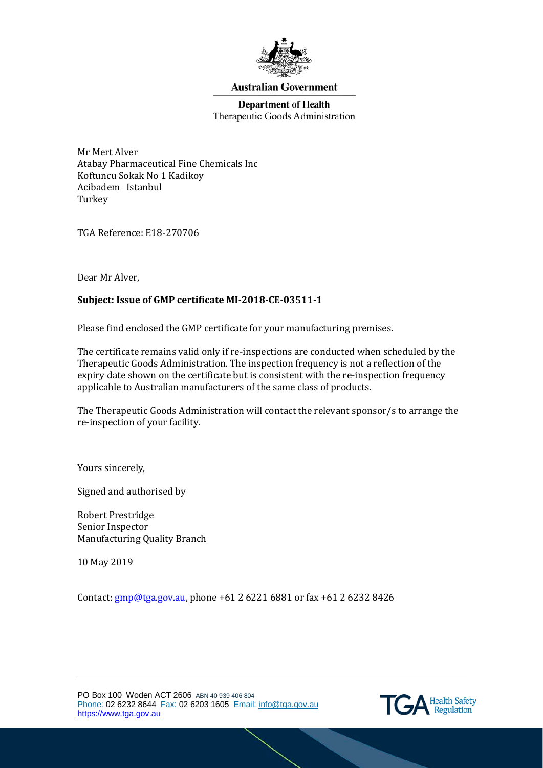

### **Australian Government**

## **Department of Health** Therapeutic Goods Administration

Mr Mert Alver Atabay Pharmaceutical Fine Chemicals Inc Koftuncu Sokak No 1 Kadikoy Acibadem Istanbul Turkey

TGA Reference: E18-270706

Dear Mr Alver,

# **Subject: Issue of GMP certificate MI-2018-CE-03511-1**

Please find enclosed the GMP certificate for your manufacturing premises.

The certificate remains valid only if re-inspections are conducted when scheduled by the Therapeutic Goods Administration. The inspection frequency is not a reflection of the expiry date shown on the certificate but is consistent with the re-inspection frequency applicable to Australian manufacturers of the same class of products.

The Therapeutic Goods Administration will contact the relevant sponsor/s to arrange the re-inspection of your facility.

Yours sincerely,

Signed and authorised by

Robert Prestridge Senior Inspector Manufacturing Quality Branch

10 May 2019

Contact: [gmp@tga.gov.au,](mailto:gmp@tga.gov.au) phone +61 2 6221 6881 or fax +61 2 6232 8426

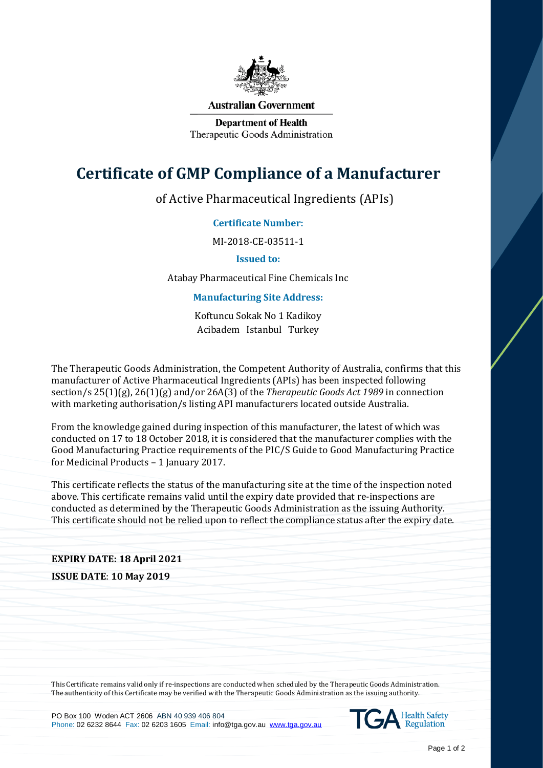

#### **Australian Government**

**Department of Health** Therapeutic Goods Administration

# **Certificate of GMP Compliance of a Manufacturer**

of Active Pharmaceutical Ingredients (APIs)

## **Certificate Number:**

MI-2018-CE-03511-1

**Issued to:**

Atabay Pharmaceutical Fine Chemicals Inc

### **Manufacturing Site Address:**

Koftuncu Sokak No 1 Kadikoy Acibadem Istanbul Turkey

The Therapeutic Goods Administration, the Competent Authority of Australia, confirms that this manufacturer of Active Pharmaceutical Ingredients (APIs) has been inspected following section/s 25(1)(g), 26(1)(g) and/or 26A(3) of the *Therapeutic Goods Act 1989* in connection with marketing authorisation/s listing API manufacturers located outside Australia.

From the knowledge gained during inspection of this manufacturer, the latest of which was conducted on 17 to 18 October 2018, it is considered that the manufacturer complies with the Good Manufacturing Practice requirements of the PIC/S Guide to Good Manufacturing Practice for Medicinal Products – 1 January 2017.

This certificate reflects the status of the manufacturing site at the time of the inspection noted above. This certificate remains valid until the expiry date provided that re-inspections are conducted as determined by the Therapeutic Goods Administration as the issuing Authority. This certificate should not be relied upon to reflect the compliance status after the expiry date.

# **EXPIRY DATE: 18 April 2021 ISSUE DATE**: **10 May 2019**

This Certificate remains valid only if re-inspections are conducted when scheduled by the Therapeutic Goods Administration. The authenticity of this Certificate may be verified with the Therapeutic Goods Administration as the issuing authority.

PO Box 100 Woden ACT 2606 ABN 40 939 406 804 Phone: 02 6232 8644 Fax: 02 6203 1605 Email: info@tga.gov.au [www.tga.gov.au](http://www.tga.gov.au/)